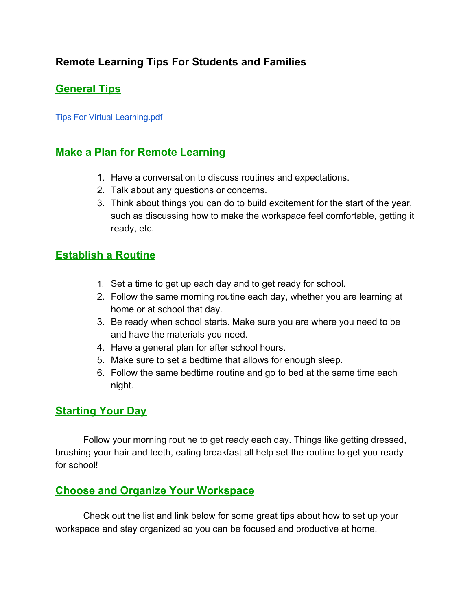# **Remote Learning Tips For Students and Families**

# **General Tips**

Tips For Virtual [Learning.pdf](https://www.eastcobbpeds.com/wp-content/uploads/2020/08/tips-for-virtual-learning-pdf.pdf)

#### **Make a Plan for Remote Learning**

- 1. Have a conversation to discuss routines and expectations.
- 2. Talk about any questions or concerns.
- 3. Think about things you can do to build excitement for the start of the year, such as discussing how to make the workspace feel comfortable, getting it ready, etc.

### **Establish a Routine**

- 1. Set a time to get up each day and to get ready for school.
- 2. Follow the same morning routine each day, whether you are learning at home or at school that day.
- 3. Be ready when school starts. Make sure you are where you need to be and have the materials you need.
- 4. Have a general plan for after school hours.
- 5. Make sure to set a bedtime that allows for enough sleep.
- 6. Follow the same bedtime routine and go to bed at the same time each night.

#### **Starting Your Day**

Follow your morning routine to get ready each day. Things like getting dressed, brushing your hair and teeth, eating breakfast all help set the routine to get you ready for school!

#### **Choose and Organize Your Workspace**

Check out the list and link below for some great tips about how to set up your workspace and stay organized so you can be focused and productive at home.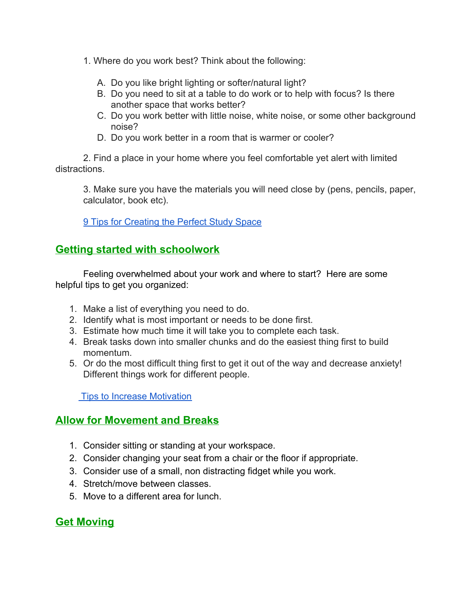- 1. Where do you work best? Think about the following:
	- A. Do you like bright lighting or softer/natural light?
	- B. Do you need to sit at a table to do work or to help with focus? Is there another space that works better?
	- C. Do you work better with little noise, white noise, or some other background noise?
	- D. Do you work better in a room that is warmer or cooler?

2. Find a place in your home where you feel comfortable yet alert with limited distractions.

3. Make sure you have the materials you will need close by (pens, pencils, paper, calculator, book etc).

**[9 Tips for Creating the Perfect Study Space](https://www.scholastic.com/parents/school-success/homework-help/study-skills-test-taking-tips/9-tips-creating-perfect-study-space.html)** 

#### **Getting started with schoolwork**

Feeling overwhelmed about your work and where to start? Here are some helpful tips to get you organized:

- 1. Make a list of everything you need to do.
- 2. Identify what is most important or needs to be done first.
- 3. Estimate how much time it will take you to complete each task.
- 4. Break tasks down into smaller chunks and do the easiest thing first to build momentum.
- 5. Or do the most difficult thing first to get it out of the way and decrease anxiety! Different things work for different people.

**Tips to Increase Motivation** 

### **Allow for Movement and Breaks**

- 1. Consider sitting or standing at your workspace.
- 2. Consider changing your seat from a chair or the floor if appropriate.
- 3. Consider use of a small, non distracting fidget while you work.
- 4. Stretch/move between classes.
- 5. Move to a different area for lunch.

### **Get Moving**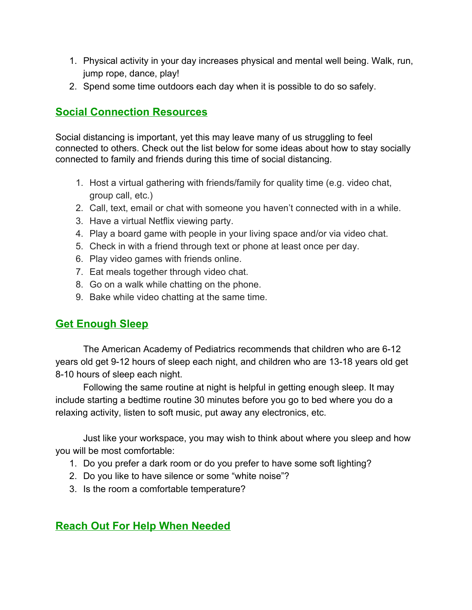- 1. Physical activity in your day increases physical and mental well being. Walk, run, jump rope, dance, play!
- 2. Spend some time outdoors each day when it is possible to do so safely.

## **Social Connection Resources**

Social distancing is important, yet this may leave many of us struggling to feel connected to others. Check out the list below for some ideas about how to stay socially connected to family and friends during this time of social distancing.

- 1. Host a virtual gathering with friends/family for quality time (e.g. video chat, group call, etc.)
- 2. Call, text, email or chat with someone you haven't connected with in a while.
- 3. Have a virtual Netflix viewing party.
- 4. Play a board game with people in your living space and/or via video chat.
- 5. Check in with a friend through text or phone at least once per day.
- 6. Play video games with friends online.
- 7. Eat meals together through video chat.
- 8. Go on a walk while chatting on the phone.
- 9. Bake while video chatting at the same time.

#### **Get Enough Sleep**

The American Academy of Pediatrics recommends that children who are 6-12 years old get 9-12 hours of sleep each night, and children who are 13-18 years old get 8-10 hours of sleep each night.

Following the same routine at night is helpful in getting enough sleep. It may include starting a bedtime routine 30 minutes before you go to bed where you do a relaxing activity, listen to soft music, put away any electronics, etc.

Just like your workspace, you may wish to think about where you sleep and how you will be most comfortable:

- 1. Do you prefer a dark room or do you prefer to have some soft lighting?
- 2. Do you like to have silence or some "white noise"?
- 3. Is the room a comfortable temperature?

### **Reach Out For Help When Needed**